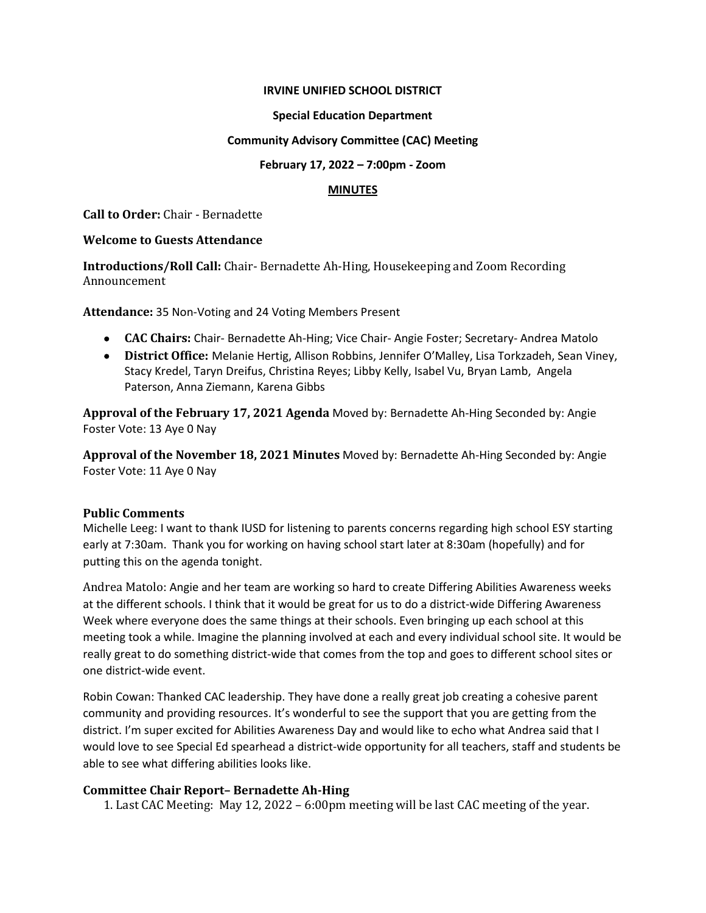## **IRVINE UNIFIED SCHOOL DISTRICT**

### **Special Education Department**

## **Community Advisory Committee (CAC) Meeting**

### **February 17, 2022 – 7:00pm - Zoom**

# **MINUTES**

**Call to Order:** Chair - Bernadette

### **Welcome to Guests Attendance**

**Introductions/Roll Call:** Chair- Bernadette Ah-Hing, Housekeeping and Zoom Recording Announcement

**Attendance:** 35 Non-Voting and 24 Voting Members Present

- **CAC Chairs:** Chair- Bernadette Ah-Hing; Vice Chair- Angie Foster; Secretary- Andrea Matolo
- **District Office:** Melanie Hertig, Allison Robbins, Jennifer O'Malley, Lisa Torkzadeh, Sean Viney, Stacy Kredel, Taryn Dreifus, Christina Reyes; Libby Kelly, Isabel Vu, Bryan Lamb, Angela Paterson, Anna Ziemann, Karena Gibbs

**Approval of the February 17, 2021 Agenda** Moved by: Bernadette Ah-Hing Seconded by: Angie Foster Vote: 13 Aye 0 Nay

**Approval of the November 18, 2021 Minutes** Moved by: Bernadette Ah-Hing Seconded by: Angie Foster Vote: 11 Aye 0 Nay

# **Public Comments**

Michelle Leeg: I want to thank IUSD for listening to parents concerns regarding high school ESY starting early at 7:30am. Thank you for working on having school start later at 8:30am (hopefully) and for putting this on the agenda tonight.

Andrea Matolo: Angie and her team are working so hard to create Differing Abilities Awareness weeks at the different schools. I think that it would be great for us to do a district-wide Differing Awareness Week where everyone does the same things at their schools. Even bringing up each school at this meeting took a while. Imagine the planning involved at each and every individual school site. It would be really great to do something district-wide that comes from the top and goes to different school sites or one district-wide event.

Robin Cowan: Thanked CAC leadership. They have done a really great job creating a cohesive parent community and providing resources. It's wonderful to see the support that you are getting from the district. I'm super excited for Abilities Awareness Day and would like to echo what Andrea said that I would love to see Special Ed spearhead a district-wide opportunity for all teachers, staff and students be able to see what differing abilities looks like.

# **Committee Chair Report– Bernadette Ah-Hing**

1. Last CAC Meeting: May 12, 2022 – 6:00pm meeting will be last CAC meeting of the year.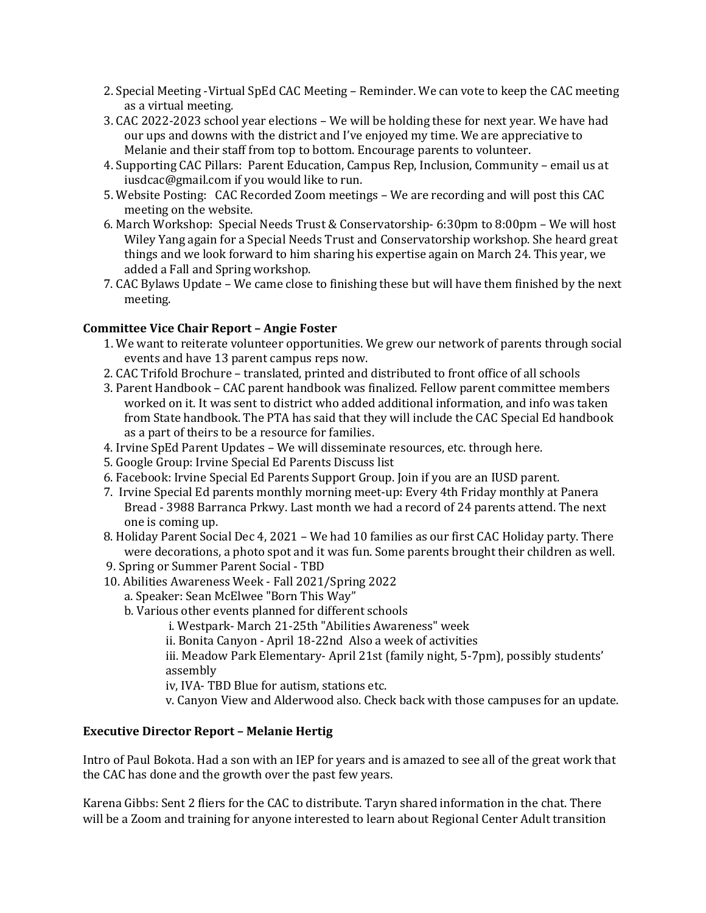- 2. Special Meeting -Virtual SpEd CAC Meeting Reminder. We can vote to keep the CAC meeting as a virtual meeting.
- 3. CAC 2022-2023 school year elections We will be holding these for next year. We have had our ups and downs with the district and I've enjoyed my time. We are appreciative to Melanie and their staff from top to bottom. Encourage parents to volunteer.
- 4. Supporting CAC Pillars: Parent Education, Campus Rep, Inclusion, Community email us at [iusdcac@gmail.com](mailto:iusdcac@gmail.com) if you would like to run.
- 5. Website Posting: CAC Recorded Zoom meetings We are recording and will post this CAC meeting on the website.
- 6. March Workshop: Special Needs Trust & Conservatorship- 6:30pm to 8:00pm We will host Wiley Yang again for a Special Needs Trust and Conservatorship workshop. She heard great things and we look forward to him sharing his expertise again on March 24. This year, we added a Fall and Spring workshop.
- 7. CAC Bylaws Update We came close to finishing these but will have them finished by the next meeting.

# **Committee Vice Chair Report – Angie Foster**

- 1. We want to reiterate volunteer opportunities. We grew our network of parents through social events and have 13 parent campus reps now.
- 2. CAC Trifold Brochure translated, printed and distributed to front office of all schools
- 3. Parent Handbook CAC parent handbook was finalized. Fellow parent committee members worked on it. It was sent to district who added additional information, and info was taken from State handbook. The PTA has said that they will include the CAC Special Ed handbook as a part of theirs to be a resource for families.
- 4. Irvine SpEd Parent Updates We will disseminate resources, etc. through here.
- 5. Google Group: Irvine Special Ed Parents Discuss list
- 6. Facebook: Irvine Special Ed Parents Support Group. Join if you are an IUSD parent.
- 7. Irvine Special Ed parents monthly morning meet-up: Every 4th Friday monthly at Panera Bread - 3988 Barranca Prkwy. Last month we had a record of 24 parents attend. The next one is coming up.
- 8. Holiday Parent Social Dec 4, 2021 We had 10 families as our first CAC Holiday party. There were decorations, a photo spot and it was fun. Some parents brought their children as well.
- 9. Spring or Summer Parent Social TBD
- 10. Abilities Awareness Week Fall 2021/Spring 2022
	- a. Speaker: Sean McElwee "Born This Way"
	- b. Various other events planned for different schools
		- i. Westpark- March 21-25th "Abilities Awareness" week
		- ii. Bonita Canyon April 18-22nd Also a week of activities

iii. Meadow Park Elementary- April 21st (family night, 5-7pm), possibly students' assembly

- iv, IVA- TBD Blue for autism, stations etc.
- v. Canyon View and Alderwood also. Check back with those campuses for an update.

# **Executive Director Report – Melanie Hertig**

Intro of Paul Bokota. Had a son with an IEP for years and is amazed to see all of the great work that the CAC has done and the growth over the past few years.

Karena Gibbs: Sent 2 fliers for the CAC to distribute. Taryn shared information in the chat. There will be a Zoom and training for anyone interested to learn about Regional Center Adult transition